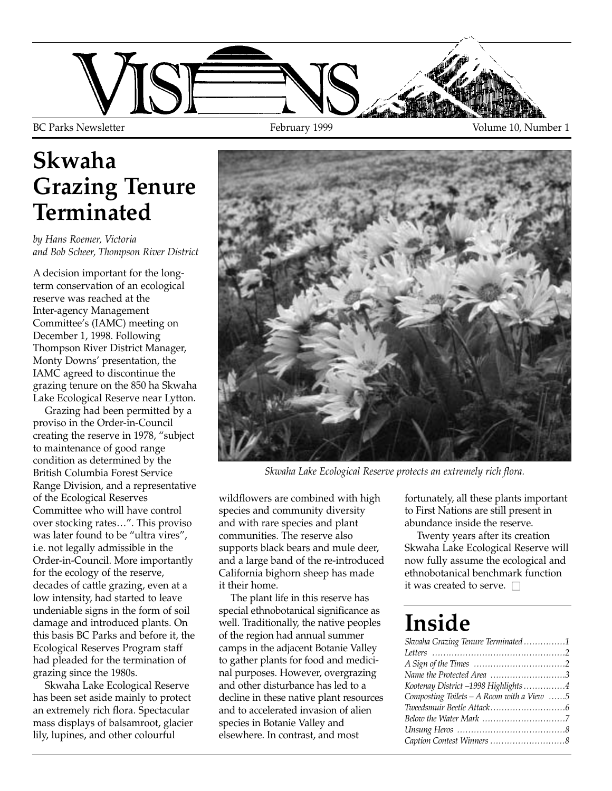

## **Skwaha Grazing Tenure Terminated**

*by Hans Roemer, Victoria and Bob Scheer, Thompson River District*

A decision important for the longterm conservation of an ecological reserve was reached at the Inter-agency Management Committee's (IAMC) meeting on December 1, 1998. Following Thompson River District Manager, Monty Downs' presentation, the IAMC agreed to discontinue the grazing tenure on the 850 ha Skwaha Lake Ecological Reserve near Lytton.

Grazing had been permitted by a proviso in the Order-in-Council creating the reserve in 1978, "subject to maintenance of good range condition as determined by the British Columbia Forest Service Range Division, and a representative of the Ecological Reserves Committee who will have control over stocking rates…". This proviso was later found to be "ultra vires", i.e. not legally admissible in the Order-in-Council. More importantly for the ecology of the reserve, decades of cattle grazing, even at a low intensity, had started to leave undeniable signs in the form of soil damage and introduced plants. On this basis BC Parks and before it, the Ecological Reserves Program staff had pleaded for the termination of grazing since the 1980s.

Skwaha Lake Ecological Reserve has been set aside mainly to protect an extremely rich flora. Spectacular mass displays of balsamroot, glacier lily, lupines, and other colourful



*Skwaha Lake Ecological Reserve protects an extremely rich flora.*

wildflowers are combined with high species and community diversity and with rare species and plant communities. The reserve also supports black bears and mule deer, and a large band of the re-introduced California bighorn sheep has made it their home.

The plant life in this reserve has special ethnobotanical significance as well. Traditionally, the native peoples of the region had annual summer camps in the adjacent Botanie Valley to gather plants for food and medicinal purposes. However, overgrazing and other disturbance has led to a decline in these native plant resources and to accelerated invasion of alien species in Botanie Valley and elsewhere. In contrast, and most

fortunately, all these plants important to First Nations are still present in abundance inside the reserve.

Twenty years after its creation Skwaha Lake Ecological Reserve will now fully assume the ecological and ethnobotanical benchmark function it was created to serve.  $\Box$ 

## **Inside**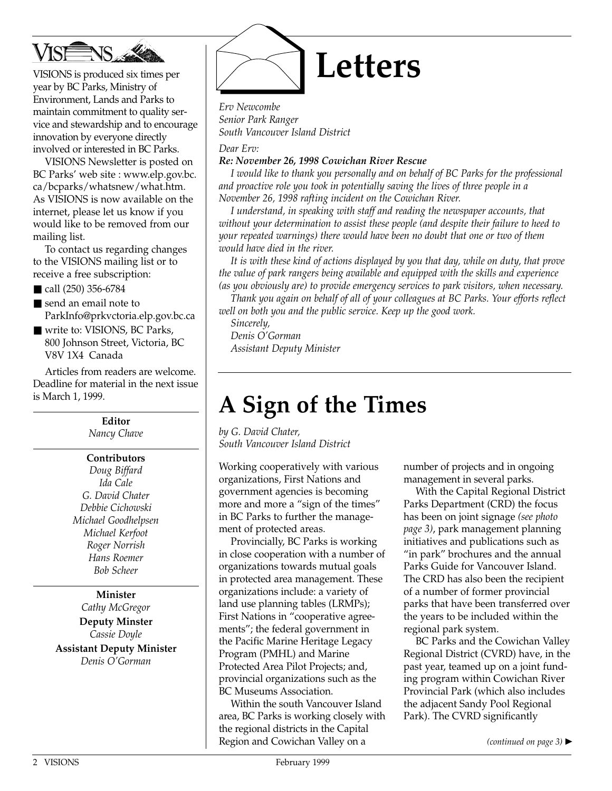

VISIONS is produced six times per year by BC Parks, Ministry of Environment, Lands and Parks to maintain commitment to quality service and stewardship and to encourage innovation by everyone directly involved or interested in BC Parks.

VISIONS Newsletter is posted on BC Parks' web site : www.elp.gov.bc. ca/bcparks/whatsnew/what.htm. As VISIONS is now available on the internet, please let us know if you would like to be removed from our mailing list.

To contact us regarding changes to the VISIONS mailing list or to receive a free subscription:

- call (250) 356-6784
- send an email note to ParkInfo@prkvctoria.elp.gov.bc.ca
- write to: VISIONS, BC Parks, 800 Johnson Street, Victoria, BC V8V 1X4 Canada

Articles from readers are welcome. Deadline for material in the next issue is March 1, 1999.

> **Editor** *Nancy Chave*

#### **Contributors**

*Doug Biffard Ida Cale G. David Chater Debbie Cichowski Michael Goodhelpsen Michael Kerfoot Roger Norrish Hans Roemer Bob Scheer*

**Minister** *Cathy McGregor*

**Deputy Minster** *Cassie Doyle*

**Assistant Deputy Minister** *Denis O'Gorman*



*Erv Newcombe Senior Park Ranger South Vancouver Island District*

*Dear Erv:*

*Re: November 26, 1998 Cowichan River Rescue*

*I would like to thank you personally and on behalf of BC Parks for the professional and proactive role you took in potentially saving the lives of three people in a November 26, 1998 rafting incident on the Cowichan River.*

*I understand, in speaking with staff and reading the newspaper accounts, that without your determination to assist these people (and despite their failure to heed to your repeated warnings) there would have been no doubt that one or two of them would have died in the river.*

*It is with these kind of actions displayed by you that day, while on duty, that prove the value of park rangers being available and equipped with the skills and experience (as you obviously are) to provide emergency services to park visitors, when necessary.*

*Thank you again on behalf of all of your colleagues at BC Parks. Your efforts reflect well on both you and the public service. Keep up the good work.*

*Sincerely,* 

*Denis O'Gorman Assistant Deputy Minister*

## **A Sign of the Times**

*by G. David Chater, South Vancouver Island District*

Working cooperatively with various organizations, First Nations and government agencies is becoming more and more a "sign of the times" in BC Parks to further the management of protected areas.

Provincially, BC Parks is working in close cooperation with a number of organizations towards mutual goals in protected area management. These organizations include: a variety of land use planning tables (LRMPs); First Nations in "cooperative agreements"; the federal government in the Pacific Marine Heritage Legacy Program (PMHL) and Marine Protected Area Pilot Projects; and, provincial organizations such as the BC Museums Association.

Within the south Vancouver Island area, BC Parks is working closely with the regional districts in the Capital Region and Cowichan Valley on a

number of projects and in ongoing management in several parks.

With the Capital Regional District Parks Department (CRD) the focus has been on joint signage *(see photo page 3)*, park management planning initiatives and publications such as "in park" brochures and the annual Parks Guide for Vancouver Island. The CRD has also been the recipient of a number of former provincial parks that have been transferred over the years to be included within the regional park system.

BC Parks and the Cowichan Valley Regional District (CVRD) have, in the past year, teamed up on a joint funding program within Cowichan River Provincial Park (which also includes the adjacent Sandy Pool Regional Park). The CVRD significantly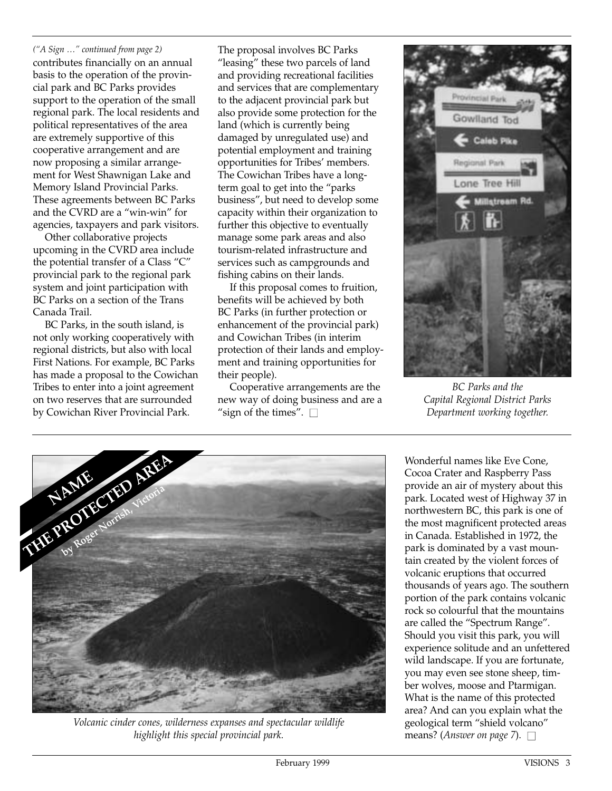*("A Sign …" continued from page 2)* contributes financially on an annual basis to the operation of the provincial park and BC Parks provides support to the operation of the small regional park. The local residents and political representatives of the area are extremely supportive of this cooperative arrangement and are now proposing a similar arrangement for West Shawnigan Lake and Memory Island Provincial Parks. These agreements between BC Parks and the CVRD are a "win-win" for agencies, taxpayers and park visitors.

Other collaborative projects upcoming in the CVRD area include the potential transfer of a Class "C" provincial park to the regional park system and joint participation with BC Parks on a section of the Trans Canada Trail.

BC Parks, in the south island, is not only working cooperatively with regional districts, but also with local First Nations. For example, BC Parks has made a proposal to the Cowichan Tribes to enter into a joint agreement on two reserves that are surrounded by Cowichan River Provincial Park.

The proposal involves BC Parks "leasing" these two parcels of land and providing recreational facilities and services that are complementary to the adjacent provincial park but also provide some protection for the land (which is currently being damaged by unregulated use) and potential employment and training opportunities for Tribes' members. The Cowichan Tribes have a longterm goal to get into the "parks business", but need to develop some capacity within their organization to further this objective to eventually manage some park areas and also tourism-related infrastructure and services such as campgrounds and fishing cabins on their lands.

If this proposal comes to fruition, benefits will be achieved by both BC Parks (in further protection or enhancement of the provincial park) and Cowichan Tribes (in interim protection of their lands and employment and training opportunities for their people).

Cooperative arrangements are the new way of doing business and are a "sign of the times".  $\square$ 



*BC Parks and the Capital Regional District Parks Department working together.*



*Volcanic cinder cones, wilderness expanses and spectacular wildlife highlight this special provincial park.*

Wonderful names like Eve Cone, Cocoa Crater and Raspberry Pass provide an air of mystery about this park. Located west of Highway 37 in northwestern BC, this park is one of the most magnificent protected areas in Canada. Established in 1972, the park is dominated by a vast mountain created by the violent forces of volcanic eruptions that occurred thousands of years ago. The southern portion of the park contains volcanic rock so colourful that the mountains are called the "Spectrum Range". Should you visit this park, you will experience solitude and an unfettered wild landscape. If you are fortunate, you may even see stone sheep, timber wolves, moose and Ptarmigan. What is the name of this protected area? And can you explain what the geological term "shield volcano" means? (*Answer on page 7*).  $\Box$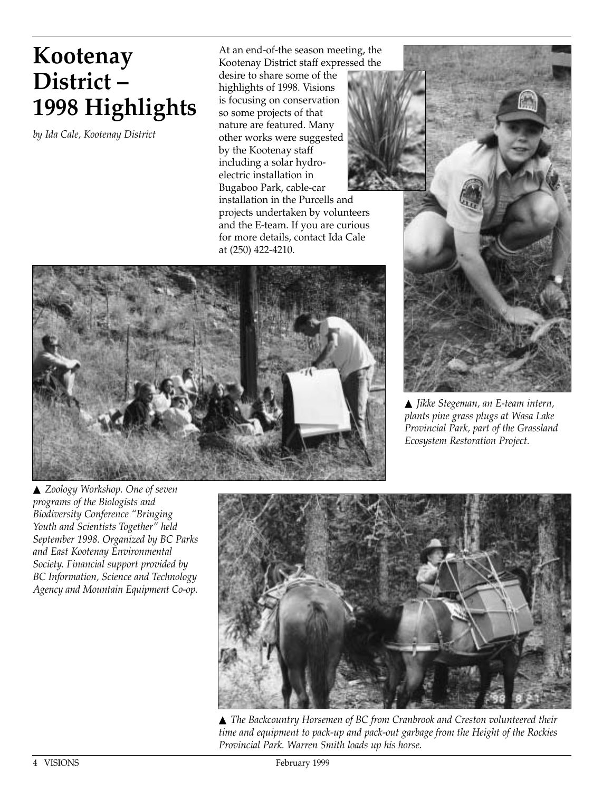### **Kootenay District – 1998 Highlights**

*by Ida Cale, Kootenay District*

At an end-of-the season meeting, the Kootenay District staff expressed the

desire to share some of the highlights of 1998. Visions is focusing on conservation so some projects of that nature are featured. Many other works were suggested by the Kootenay staff including a solar hydroelectric installation in Bugaboo Park, cable-car installation in the Purcells and projects undertaken by volunteers and the E-team. If you are curious for more details, contact Ida Cale at (250) 422-4210.





▲ *Jikke Stegeman, an E-team intern, plants pine grass plugs at Wasa Lake Provincial Park, part of the Grassland Ecosystem Restoration Project.*

▲ *Zoology Workshop. One of seven programs of the Biologists and Biodiversity Conference "Bringing Youth and Scientists Together" held September 1998. Organized by BC Parks and East Kootenay Environmental Society. Financial support provided by BC Information, Science and Technology Agency and Mountain Equipment Co-op.*



▲ *The Backcountry Horsemen of BC from Cranbrook and Creston volunteered their time and equipment to pack-up and pack-out garbage from the Height of the Rockies Provincial Park. Warren Smith loads up his horse.*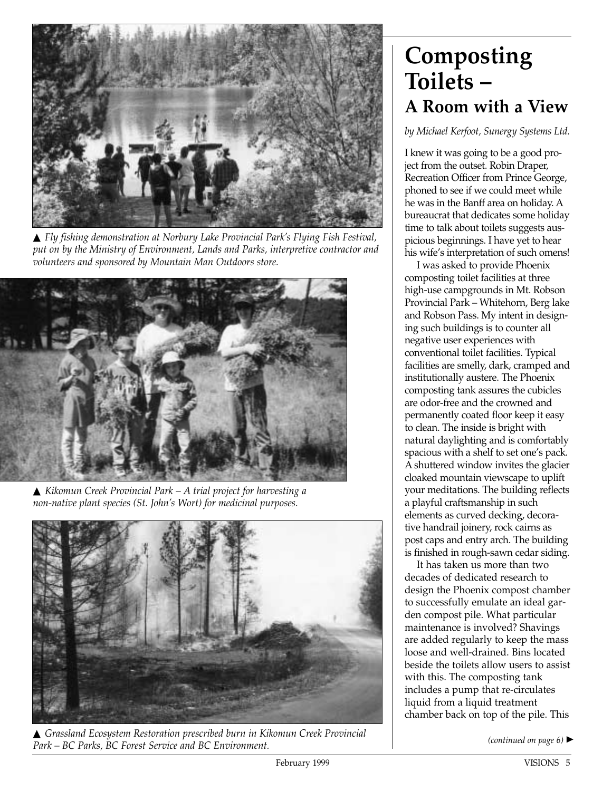

▲ *Fly fishing demonstration at Norbury Lake Provincial Park's Flying Fish Festival, put on by the Ministry of Environment, Lands and Parks, interpretive contractor and volunteers and sponsored by Mountain Man Outdoors store.*



▲ *Kikomun Creek Provincial Park – A trial project for harvesting a non-native plant species (St. John's Wort) for medicinal purposes.*



▲ *Grassland Ecosystem Restoration prescribed burn in Kikomun Creek Provincial Park – BC Parks, BC Forest Service and BC Environment.*

#### **Composting Toilets – A Room with a View**

*by Michael Kerfoot, Sunergy Systems Ltd.* 

I knew it was going to be a good project from the outset. Robin Draper, Recreation Officer from Prince George, phoned to see if we could meet while he was in the Banff area on holiday. A bureaucrat that dedicates some holiday time to talk about toilets suggests auspicious beginnings. I have yet to hear his wife's interpretation of such omens!

I was asked to provide Phoenix composting toilet facilities at three high-use campgrounds in Mt. Robson Provincial Park – Whitehorn, Berg lake and Robson Pass. My intent in designing such buildings is to counter all negative user experiences with conventional toilet facilities. Typical facilities are smelly, dark, cramped and institutionally austere. The Phoenix composting tank assures the cubicles are odor-free and the crowned and permanently coated floor keep it easy to clean. The inside is bright with natural daylighting and is comfortably spacious with a shelf to set one's pack. A shuttered window invites the glacier cloaked mountain viewscape to uplift your meditations. The building reflects a playful craftsmanship in such elements as curved decking, decorative handrail joinery, rock cairns as post caps and entry arch. The building is finished in rough-sawn cedar siding.

It has taken us more than two decades of dedicated research to design the Phoenix compost chamber to successfully emulate an ideal garden compost pile. What particular maintenance is involved? Shavings are added regularly to keep the mass loose and well-drained. Bins located beside the toilets allow users to assist with this. The composting tank includes a pump that re-circulates liquid from a liquid treatment chamber back on top of the pile. This

*(continued on page 6)* ▲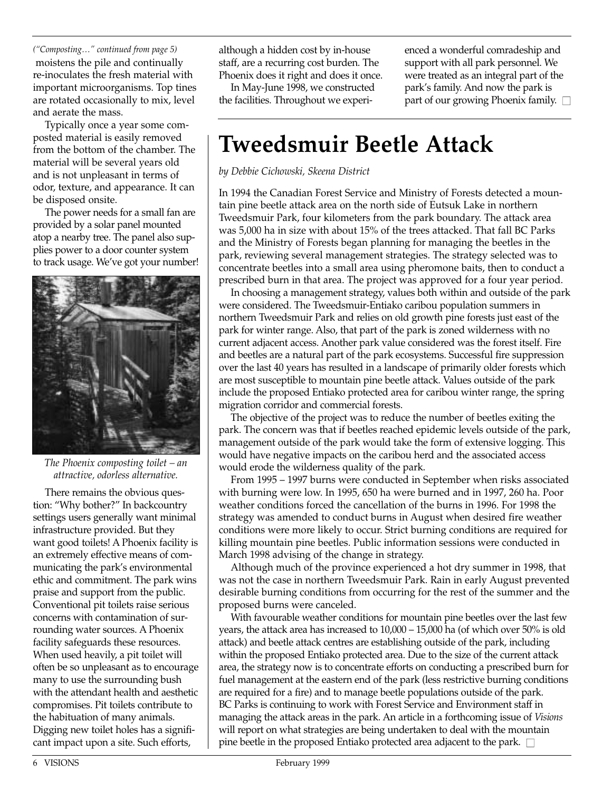*("Composting…" continued from page 5)* moistens the pile and continually re-inoculates the fresh material with important microorganisms. Top tines are rotated occasionally to mix, level and aerate the mass.

Typically once a year some composted material is easily removed from the bottom of the chamber. The material will be several years old and is not unpleasant in terms of odor, texture, and appearance. It can be disposed onsite.

The power needs for a small fan are provided by a solar panel mounted atop a nearby tree. The panel also supplies power to a door counter system to track usage. We've got your number!



*The Phoenix composting toilet – an attractive, odorless alternative.*

There remains the obvious question: "Why bother?" In backcountry settings users generally want minimal infrastructure provided. But they want good toilets! A Phoenix facility is an extremely effective means of communicating the park's environmental ethic and commitment. The park wins praise and support from the public. Conventional pit toilets raise serious concerns with contamination of surrounding water sources. A Phoenix facility safeguards these resources. When used heavily, a pit toilet will often be so unpleasant as to encourage many to use the surrounding bush with the attendant health and aesthetic compromises. Pit toilets contribute to the habituation of many animals. Digging new toilet holes has a significant impact upon a site. Such efforts,

although a hidden cost by in-house staff, are a recurring cost burden. The Phoenix does it right and does it once.

In May-June 1998, we constructed the facilities. Throughout we experienced a wonderful comradeship and support with all park personnel. We were treated as an integral part of the park's family. And now the park is part of our growing Phoenix family.  $\square$ 

## **Tweedsmuir Beetle Attack**

*by Debbie Cichowski, Skeena District*

In 1994 the Canadian Forest Service and Ministry of Forests detected a mountain pine beetle attack area on the north side of Eutsuk Lake in northern Tweedsmuir Park, four kilometers from the park boundary. The attack area was 5,000 ha in size with about 15% of the trees attacked. That fall BC Parks and the Ministry of Forests began planning for managing the beetles in the park, reviewing several management strategies. The strategy selected was to concentrate beetles into a small area using pheromone baits, then to conduct a prescribed burn in that area. The project was approved for a four year period.

In choosing a management strategy, values both within and outside of the park were considered. The Tweedsmuir-Entiako caribou population summers in northern Tweedsmuir Park and relies on old growth pine forests just east of the park for winter range. Also, that part of the park is zoned wilderness with no current adjacent access. Another park value considered was the forest itself. Fire and beetles are a natural part of the park ecosystems. Successful fire suppression over the last 40 years has resulted in a landscape of primarily older forests which are most susceptible to mountain pine beetle attack. Values outside of the park include the proposed Entiako protected area for caribou winter range, the spring migration corridor and commercial forests.

The objective of the project was to reduce the number of beetles exiting the park. The concern was that if beetles reached epidemic levels outside of the park, management outside of the park would take the form of extensive logging. This would have negative impacts on the caribou herd and the associated access would erode the wilderness quality of the park.

From 1995 – 1997 burns were conducted in September when risks associated with burning were low. In 1995, 650 ha were burned and in 1997, 260 ha. Poor weather conditions forced the cancellation of the burns in 1996. For 1998 the strategy was amended to conduct burns in August when desired fire weather conditions were more likely to occur. Strict burning conditions are required for killing mountain pine beetles. Public information sessions were conducted in March 1998 advising of the change in strategy.

Although much of the province experienced a hot dry summer in 1998, that was not the case in northern Tweedsmuir Park. Rain in early August prevented desirable burning conditions from occurring for the rest of the summer and the proposed burns were canceled.

With favourable weather conditions for mountain pine beetles over the last few years, the attack area has increased to 10,000 – 15,000 ha (of which over 50% is old attack) and beetle attack centres are establishing outside of the park, including within the proposed Entiako protected area. Due to the size of the current attack area, the strategy now is to concentrate efforts on conducting a prescribed burn for fuel management at the eastern end of the park (less restrictive burning conditions are required for a fire) and to manage beetle populations outside of the park. BC Parks is continuing to work with Forest Service and Environment staff in managing the attack areas in the park. An article in a forthcoming issue of *Visions* will report on what strategies are being undertaken to deal with the mountain pine beetle in the proposed Entiako protected area adjacent to the park.  $\Box$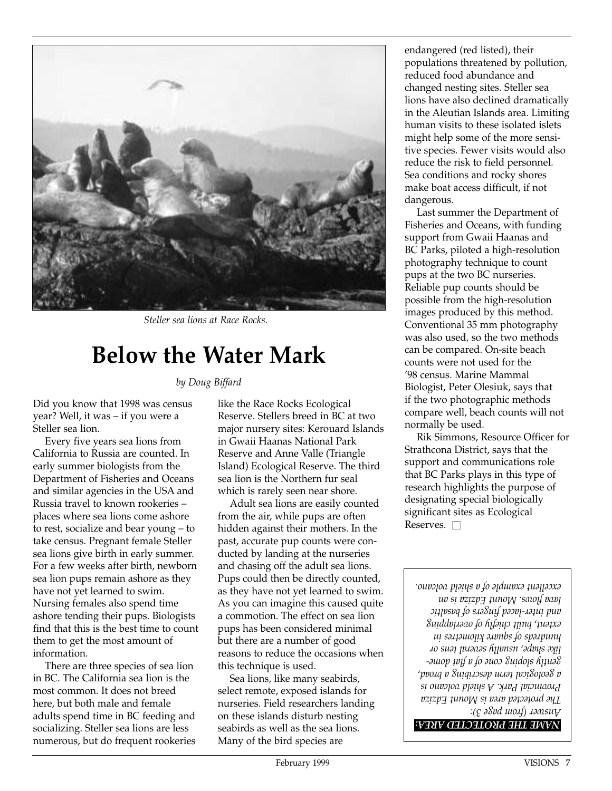

*Steller sea lions at Race Rocks.*

#### **Below the Water Mark**

#### *by Doug Biffard*

Did you know that 1998 was census year? Well, it was – if you were a Steller sea lion.

Every five years sea lions from California to Russia are counted. In early summer biologists from the Department of Fisheries and Oceans and similar agencies in the USA and Russia travel to known rookeries – places where sea lions come ashore to rest, socialize and bear young – to take census. Pregnant female Steller sea lions give birth in early summer. For a few weeks after birth, newborn sea lion pups remain ashore as they have not yet learned to swim. Nursing females also spend time ashore tending their pups. Biologists find that this is the best time to count them to get the most amount of information.

There are three species of sea lion in BC. The California sea lion is the most common. It does not breed here, but both male and female adults spend time in BC feeding and socializing. Steller sea lions are less numerous, but do frequent rookeries

like the Race Rocks Ecological Reserve. Stellers breed in BC at two major nursery sites: Kerouard Islands in Gwaii Haanas National Park Reserve and Anne Valle (Triangle Island) Ecological Reserve. The third sea lion is the Northern fur seal which is rarely seen near shore.

Adult sea lions are easily counted from the air, while pups are often hidden against their mothers. In the past, accurate pup counts were conducted by landing at the nurseries and chasing off the adult sea lions. Pups could then be directly counted, as they have not yet learned to swim. As you can imagine this caused quite a commotion. The effect on sea lion pups has been considered minimal but there are a number of good reasons to reduce the occasions when this technique is used.

Sea lions, like many seabirds, select remote, exposed islands for nurseries. Field researchers landing on these islands disturb nesting seabirds as well as the sea lions. Many of the bird species are

endangered (red listed), their populations threatened by pollution, reduced food abundance and changed nesting sites. Steller sea lions have also declined dramatically in the Aleutian Islands area. Limiting human visits to these isolated islets might help some of the more sensitive species. Fewer visits would also reduce the risk to field personnel. Sea conditions and rocky shores make boat access difficult, if not dangerous.

Last summer the Department of Fisheries and Oceans, with funding support from Gwaii Haanas and BC Parks, piloted a high-resolution photography technique to count pups at the two BC nurseries. Reliable pup counts should be possible from the high-resolution images produced by this method. Conventional 35 mm photography was also used, so the two methods can be compared. On-site beach counts were not used for the '98 census. Marine Mammal Biologist, Peter Olesiuk, says that if the two photographic methods compare well, beach counts will not normally be used.

Rik Simmons, Resource Officer for Strathcona District, says that the support and communications role that BC Parks plays in this type of research highlights the purpose of designating special biologically significant sites as Ecological Reserves.  $\square$ 

*Answer (from page 3): The protected area is Mount Edziza Provincial Park. A shield volcano is a geological term describing a broad, gently sloping cone of a flat domelike shape, usually several tens or hundreds of square kilometres in extent, built chiefly of overlapping and inter-laced fingers of basaltic lava flows. Mount Edziza is an excellent example of a shield volcano.*

*NAME THE PROTECTED AREA:*